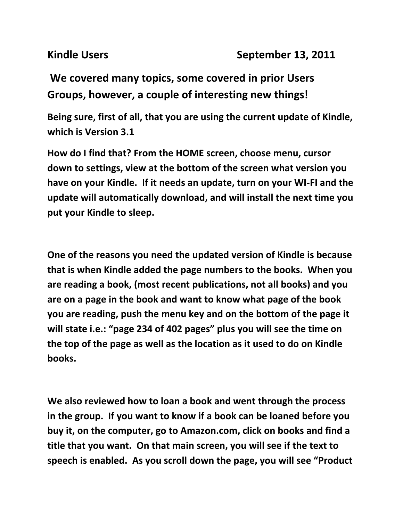**We covered many topics, some covered in prior Users Groups, however, a couple of interesting new things!**

**Being sure, first of all, that you are using the current update of Kindle, which is Version 3.1**

**How do I find that? From the HOME screen, choose menu, cursor down to settings, view at the bottom of the screen what version you have on your Kindle. If it needs an update, turn on your WI-FI and the update will automatically download, and will install the next time you put your Kindle to sleep.**

**One of the reasons you need the updated version of Kindle is because that is when Kindle added the page numbers to the books. When you are reading a book, (most recent publications, not all books) and you are on a page in the book and want to know what page of the book you are reading, push the menu key and on the bottom of the page it will state i.e.: "page 234 of 402 pages" plus you will see the time on the top of the page as well as the location as it used to do on Kindle books.** 

**We also reviewed how to loan a book and went through the process in the group. If you want to know if a book can be loaned before you buy it, on the computer, go to Amazon.com, click on books and find a title that you want. On that main screen, you will see if the text to speech is enabled. As you scroll down the page, you will see "Product**